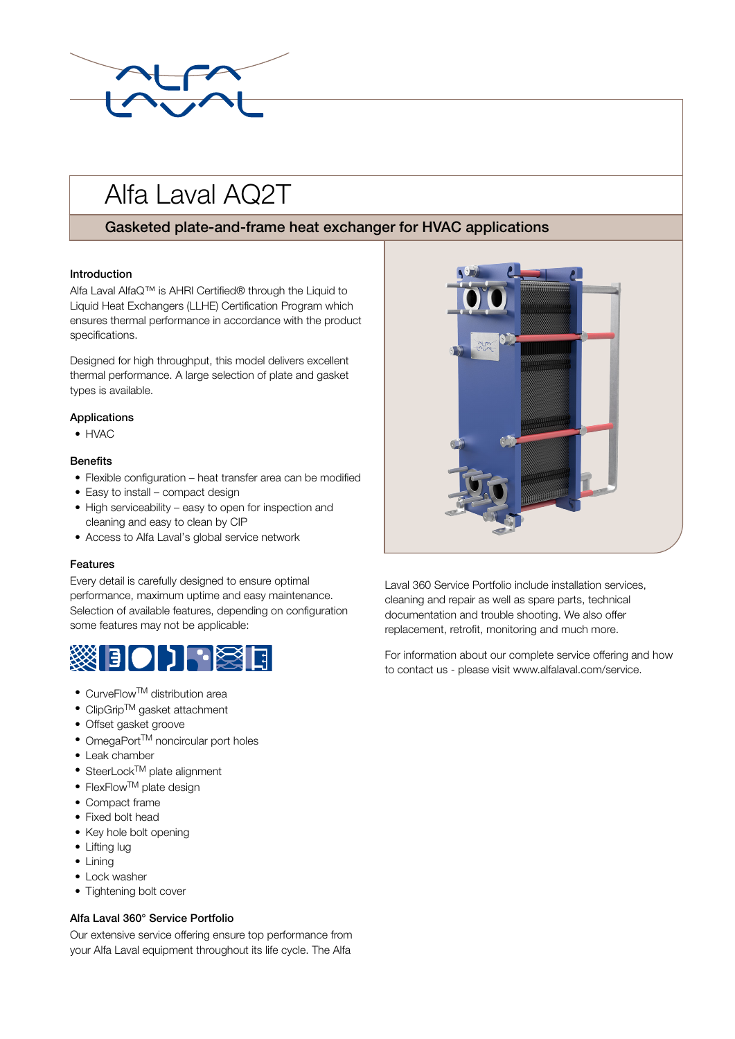

# Alfa Laval AQ2T

## Gasketed plate-and-frame heat exchanger for HVAC applications

#### Introduction

Alfa Laval AlfaQ™ is AHRI Certified® through the Liquid to Liquid Heat Exchangers (LLHE) Certification Program which ensures thermal performance in accordance with the product specifications.

Designed for high throughput, this model delivers excellent thermal performance. A large selection of plate and gasket types is available.

#### Applications

• HVAC

#### **Benefits**

- Flexible configuration heat transfer area can be modified
- Easy to install compact design
- High serviceability easy to open for inspection and cleaning and easy to clean by CIP
- Access to Alfa Laval's global service network

#### Features

Every detail is carefully designed to ensure optimal performance, maximum uptime and easy maintenance. Selection of available features, depending on configuration some features may not be applicable:



- CurveFlow<sup>TM</sup> distribution area
- ClipGrip<sup>TM</sup> gasket attachment
- Offset gasket groove
- OmegaPort<sup>TM</sup> noncircular port holes
- Leak chamber
- SteerLock<sup>TM</sup> plate alignment
- FlexFlow<sup>TM</sup> plate design
- Compact frame
- Fixed bolt head
- Key hole bolt opening
- Lifting lug
- Lining
- Lock washer
- Tightening bolt cover

#### Alfa Laval 360° Service Portfolio

Our extensive service offering ensure top performance from your Alfa Laval equipment throughout its life cycle. The Alfa



Laval 360 Service Portfolio include installation services, cleaning and repair as well as spare parts, technical documentation and trouble shooting. We also offer replacement, retrofit, monitoring and much more.

For information about our complete service offering and how to contact us - please visit www.alfalaval.com/service.